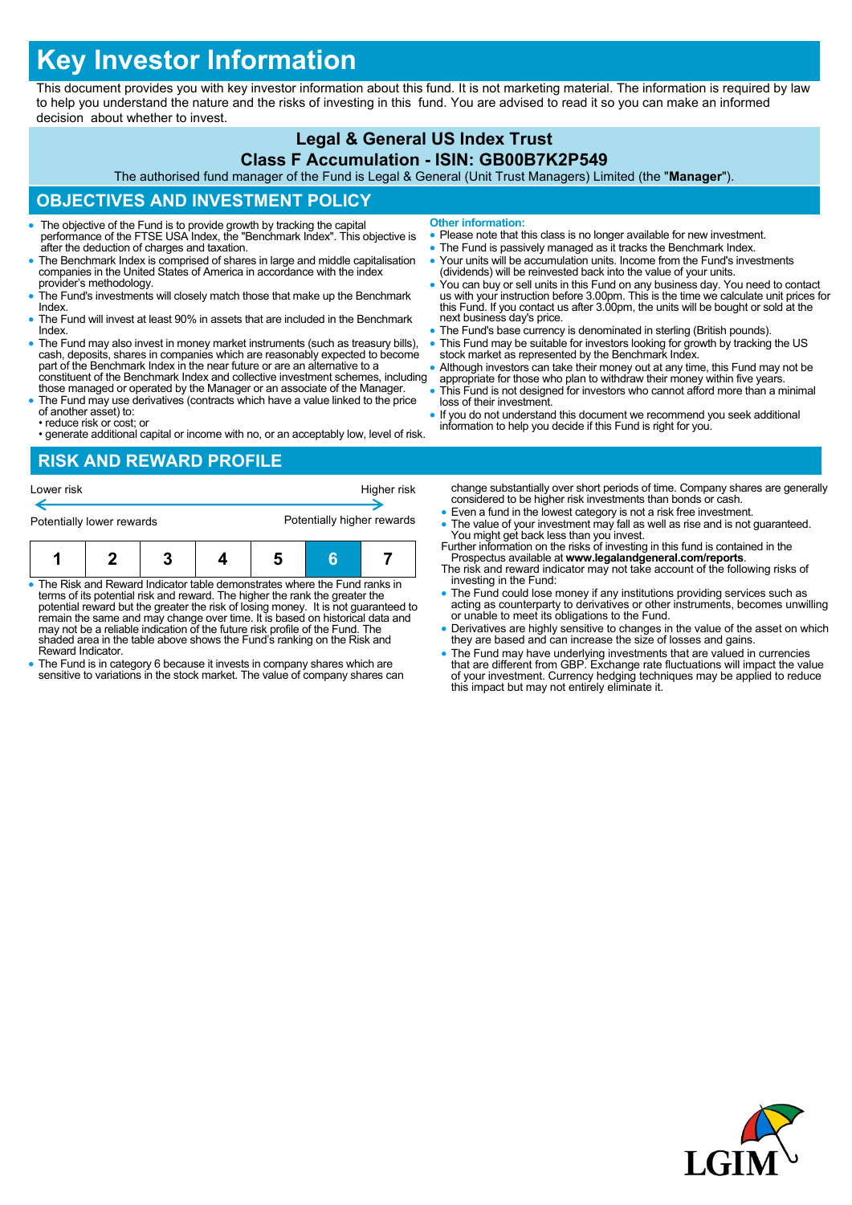# **Key Investor Information**

This document provides you with key investor information about this fund. It is not marketing material. The information is required by law to help you understand the nature and the risks of investing in this fund. You are advised to read it so you can make an informed decision about whether to invest.

# **Legal & General US Index Trust**

#### **Class F Accumulation - ISIN: GB00B7K2P549**

The authorised fund manager of the Fund is Legal & General (Unit Trust Managers) Limited (the "**Manager**").

## **OBJECTIVES AND INVESTMENT POLICY**

- The objective of the Fund is to provide growth by tracking the capital performance of the FTSE USA Index, the "Benchmark Index". This objective is after the deduction of charges and taxation.
- The Benchmark Index is comprised of shares in large and middle capitalisation companies in the United States of America in accordance with the index provider's methodology.
- The Fund's investments will closely match those that make up the Benchmark **Index**
- The Fund will invest at least 90% in assets that are included in the Benchmark Index.
- The Fund may also invest in money market instruments (such as treasury bills), cash, deposits, shares in companies which are reasonably expected to become part of the Benchmark Index in the near future or are an alternative to a constituent of the Benchmark Index and collective investment schemes, including
- those managed or operated by the Manager or an associate of the Manager. The Fund may use derivatives (contracts which have a value linked to the price
- of another asset) to: • reduce risk or cost; or
- generate additional capital or income with no, or an acceptably low, level of risk.

**Other information:**

- Please note that this class is no longer available for new investment.
- The Fund is passively managed as it tracks the Benchmark Index.
- Your units will be accumulation units. Income from the Fund's investments (dividends) will be reinvested back into the value of your units.
- You can buy or sell units in this Fund on any business day. You need to contact us with your instruction before 3.00pm. This is the time we calculate unit prices for this Fund. If you contact us after 3.00pm, the units will be bought or sold at the next business day's price.
- The Fund's base currency is denominated in sterling (British pounds).
- This Fund may be suitable for investors looking for growth by tracking the US stock market as represented by the Benchmark Index.
- Although investors can take their money out at any time, this Fund may not be appropriate for those who plan to withdraw their money within five years.
- This Fund is not designed for investors who cannot afford more than a minimal loss of their investment.
- If you do not understand this document we recommend you seek additional information to help you decide if this Fund is right for you.

#### **RISK AND REWARD PROFILE**

| Lower risk                |  |  | Higher risk |                            |  |  |  |
|---------------------------|--|--|-------------|----------------------------|--|--|--|
| Potentially lower rewards |  |  |             | Potentially higher rewards |  |  |  |
|                           |  |  |             |                            |  |  |  |

- The Risk and Reward Indicator table demonstrates where the Fund ranks in terms of its potential risk and reward. The higher the rank the greater the potential reward but the greater the risk of losing money. It is not guaranteed to remain the same and may change over time. It is based on historical data and may not be a reliable indication of the future risk profile of the Fund. The shaded area in the table above shows the Fund's ranking on the Risk and Reward Indicator.
- The Fund is in category 6 because it invests in company shares which are sensitive to variations in the stock market. The value of company shares can
- change substantially over short periods of time. Company shares are generally considered to be higher risk investments than bonds or cash.
- Even a fund in the lowest category is not a risk free investment.
- The value of your investment may fall as well as rise and is not guaranteed. You might get back less than you invest. Further information on the risks of investing in this fund is contained in the
- Prospectus available at **www.legalandgeneral.com/reports**. The risk and reward indicator may not take account of the following risks of
- investing in the Fund: The Fund could lose money if any institutions providing services such as acting as counterparty to derivatives or other instruments, becomes unwilling or unable to meet its obligations to the Fund.
- Derivatives are highly sensitive to changes in the value of the asset on which they are based and can increase the size of losses and gains.
- The Fund may have underlying investments that are valued in currencies<br>that are different from GBP. Exchange rate fluctuations will impact the value<br>of your investment. Currency hedging techniques may be applied to reduc